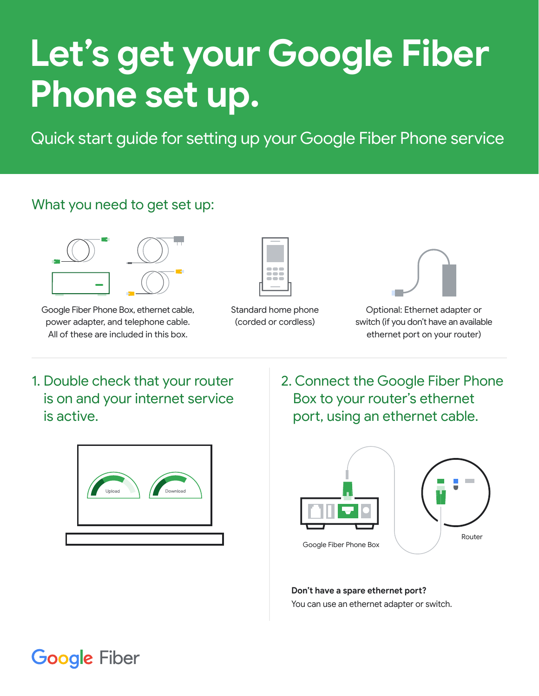## **Let's get your Google Fiber Phone set up.**

Quick start guide for setting up your Google Fiber Phone service

## What you need to get set up:



Google Fiber Phone Box, ethernet cable, power adapter, and telephone cable. All of these are included in this box.



Standard home phone (corded or cordless)



Optional: Ethernet adapter or switch (if you don't have an available ethernet port on your router)

1. Double check that your router is on and your internet service is active.



2. Connect the Google Fiber Phone Box to your router's ethernet port, using an ethernet cable.



**Don't have a spare ethernet port?** You can use an ethernet adapter or switch.